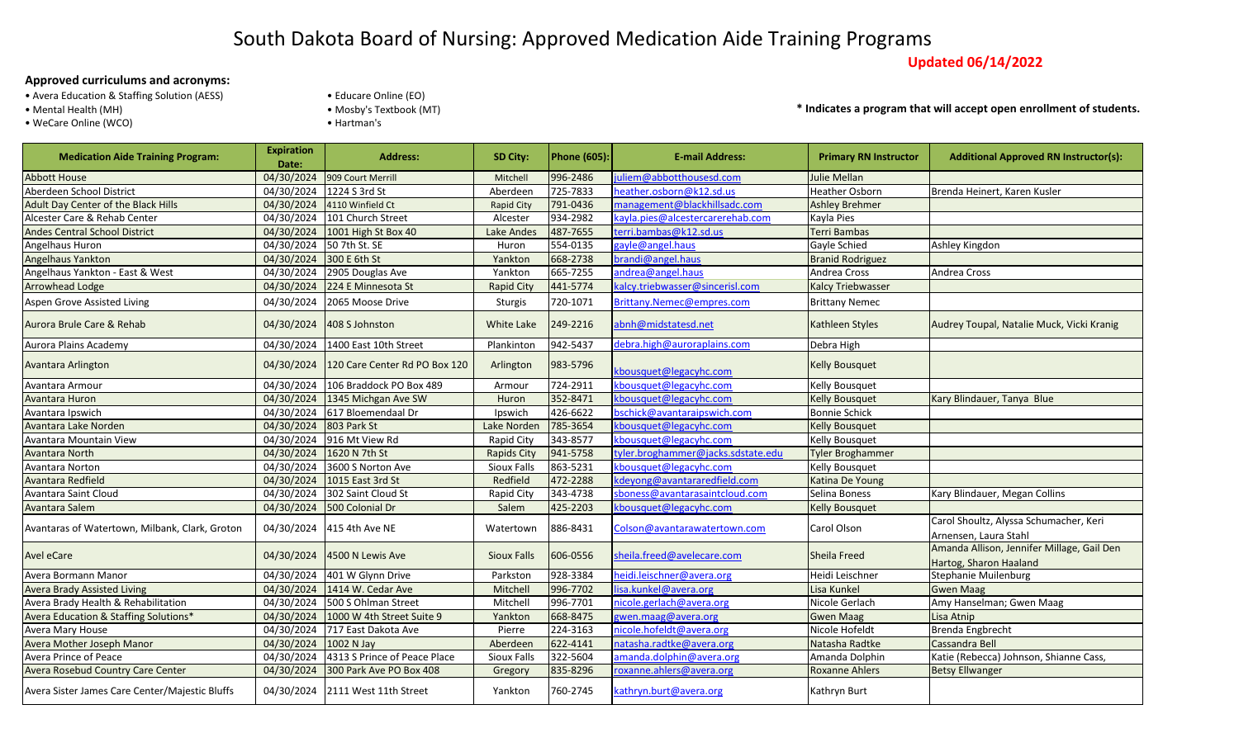## South Dakota Board of Nursing: Approved Medication Aide Training Programs

**Updated 06/14/2022**

## **Approved curriculums and acronyms:**

- Avera Education & Staffing Solution (AESS)
- 
- WeCare Online (WCO)  **Hartman's**
- Educare Online (EO)
- Mental Health (MH) Mosby's Textbook (MT)
	-

**\* Indicates a program that will accept open enrollment of students.**

| <b>Medication Aide Training Program:</b>       | <b>Expiration</b><br>Date: | <b>Address:</b>               | SD City:           | <b>Phone (605):</b> | <b>E-mail Address:</b>             | <b>Primary RN Instructor</b> | <b>Additional Approved RN Instructor(s):</b>                         |
|------------------------------------------------|----------------------------|-------------------------------|--------------------|---------------------|------------------------------------|------------------------------|----------------------------------------------------------------------|
| <b>Abbott House</b>                            | 04/30/2024                 | 909 Court Merrill             | Mitchell           | 996-2486            | uliem@abbotthousesd.com            | Julie Mellan                 |                                                                      |
| Aberdeen School District                       | 04/30/2024                 | 1224 S 3rd St                 | Aberdeen           | 725-7833            | neather.osborn@k12.sd.us           | Heather Osborn               | Brenda Heinert, Karen Kusler                                         |
| Adult Day Center of the Black Hills            | 04/30/2024                 | 4110 Winfield Ct              | <b>Rapid City</b>  | 791-0436            | management@blackhillsadc.com       | <b>Ashley Brehmer</b>        |                                                                      |
| Alcester Care & Rehab Center                   | 04/30/2024                 | 101 Church Street             | Alcester           | 934-2982            | kayla.pies@alcestercarerehab.com   | Kayla Pies                   |                                                                      |
| <b>Andes Central School District</b>           | 04/30/2024                 | 1001 High St Box 40           | Lake Andes         | 487-7655            | terri.bambas@k12.sd.us             | Terri Bambas                 |                                                                      |
| Angelhaus Huron                                | 04/30/2024                 | 50 7th St. SE                 | Huron              | 554-0135            | gayle@angel.haus                   | Gayle Schied                 | Ashley Kingdon                                                       |
| Angelhaus Yankton                              | 04/30/2024                 | 300 E 6th St                  | Yankton            | 668-2738            | brandi@angel.haus                  | <b>Branid Rodriguez</b>      |                                                                      |
| Angelhaus Yankton - East & West                | 04/30/2024                 | 2905 Douglas Ave              | Yankton            | 665-7255            | andrea@angel.haus                  | Andrea Cross                 | Andrea Cross                                                         |
| Arrowhead Lodge                                | 04/30/2024                 | 224 E Minnesota St            | <b>Rapid City</b>  | 441-5774            | kalcy.triebwasser@sincerisl.com    | <b>Kalcy Triebwasser</b>     |                                                                      |
| Aspen Grove Assisted Living                    | 04/30/2024                 | 2065 Moose Drive              | Sturgis            | 720-1071            | Brittany.Nemec@empres.com          | <b>Brittany Nemec</b>        |                                                                      |
| Aurora Brule Care & Rehab                      | 04/30/2024                 | 408 S Johnston                | White Lake         | 249-2216            | abnh@midstatesd.net                | Kathleen Styles              | Audrey Toupal, Natalie Muck, Vicki Kranig                            |
| Aurora Plains Academy                          | 04/30/2024                 | 1400 East 10th Street         | Plankinton         | 942-5437            | debra.high@auroraplains.com        | Debra High                   |                                                                      |
| Avantara Arlington                             | 04/30/2024                 | 120 Care Center Rd PO Box 120 | Arlington          | 983-5796            | kbousquet@legacyhc.com             | <b>Kelly Bousquet</b>        |                                                                      |
| Avantara Armour                                | 04/30/2024                 | 106 Braddock PO Box 489       | Armour             | 724-2911            | kbousquet@legacyhc.com             | Kelly Bousquet               |                                                                      |
| Avantara Huron                                 | 04/30/2024                 | 1345 Michgan Ave SW           | Huron              | 352-8471            | kbousquet@legacyhc.com             | <b>Kelly Bousquet</b>        | Kary Blindauer, Tanya Blue                                           |
| Avantara Ipswich                               | 04/30/2024                 | 617 Bloemendaal Dr            | Ipswich            | 426-6622            | bschick@avantaraipswich.com        | <b>Bonnie Schick</b>         |                                                                      |
| Avantara Lake Norden                           | 04/30/2024                 | 803 Park St                   | Lake Norden        | 785-3654            | kbousquet@legacyhc.com             | <b>Kelly Bousquet</b>        |                                                                      |
| Avantara Mountain View                         | 04/30/2024                 | 916 Mt View Rd                | Rapid City         | 343-8577            | kbousquet@legacyhc.com             | Kelly Bousquet               |                                                                      |
| Avantara North                                 |                            | 04/30/2024 1620 N 7th St      | <b>Rapids City</b> | 941-5758            | tyler.broghammer@jacks.sdstate.edu | <b>Tyler Broghammer</b>      |                                                                      |
| Avantara Norton                                | 04/30/2024                 | 3600 S Norton Ave             | Sioux Falls        | 863-5231            | kbousquet@legacyhc.com             | <b>Kelly Bousquet</b>        |                                                                      |
| Avantara Redfield                              | 04/30/2024                 | 1015 East 3rd St              | Redfield           | 472-2288            | kdeyong@avantararedfield.com       | Katina De Young              |                                                                      |
| Avantara Saint Cloud                           | 04/30/2024                 | 302 Saint Cloud St            | Rapid City         | 343-4738            | sboness@avantarasaintcloud.com     | Selina Boness                | Kary Blindauer, Megan Collins                                        |
| Avantara Salem                                 | 04/30/2024                 | 500 Colonial Dr               | Salem              | 425-2203            | kbousquet@legacyhc.com             | Kelly Bousquet               |                                                                      |
| Avantaras of Watertown, Milbank, Clark, Groton | 04/30/2024                 | 415 4th Ave NE                | Watertown          | 886-8431            | Colson@avantarawatertown.com       | Carol Olson                  | Carol Shoultz, Alyssa Schumacher, Keri<br>Arnensen, Laura Stahl      |
| <b>Avel eCare</b>                              | 04/30/2024                 | 4500 N Lewis Ave              | <b>Sioux Falls</b> | 606-0556            | sheila.freed@avelecare.com         | Sheila Freed                 | Amanda Allison, Jennifer Millage, Gail Den<br>Hartog, Sharon Haaland |
| Avera Bormann Manor                            | 04/30/2024                 | 401 W Glynn Drive             | Parkston           | 928-3384            | heidi.leischner@avera.org          | Heidi Leischner              | Stephanie Muilenburg                                                 |
| <b>Avera Brady Assisted Living</b>             | 04/30/2024                 | 1414 W. Cedar Ave             | Mitchell           | 996-7702            | isa.kunkel@avera.org               | Lisa Kunkel                  | <b>Gwen Maag</b>                                                     |
| Avera Brady Health & Rehabilitation            | 04/30/2024                 | 500 S Ohlman Street           | Mitchell           | 996-7701            | nicole.gerlach@avera.org           | Nicole Gerlach               | Amy Hanselman; Gwen Maag                                             |
| Avera Education & Staffing Solutions*          | 04/30/2024                 | 1000 W 4th Street Suite 9     | Yankton            | 668-8475            | gwen.maag@avera.org                | <b>Gwen Maag</b>             | Lisa Atnip                                                           |
| Avera Mary House                               | 04/30/2024                 | 717 East Dakota Ave           | Pierre             | 224-3163            | nicole.hofeldt@avera.org           | Nicole Hofeldt               | <b>Brenda Engbrecht</b>                                              |
| Avera Mother Joseph Manor                      | 04/30/2024                 | 1002 N Jay                    | Aberdeen           | 622-4141            | natasha.radtke@avera.org           | Natasha Radtke               | <b>Cassandra Bell</b>                                                |
| Avera Prince of Peace                          | 04/30/2024                 | 4313 S Prince of Peace Place  | <b>Sioux Falls</b> | 322-5604            | amanda.dolphin@avera.org           | Amanda Dolphin               | Katie (Rebecca) Johnson, Shianne Cass,                               |
| Avera Rosebud Country Care Center              | 04/30/2024                 | 300 Park Ave PO Box 408       | Gregory            | 835-8296            | roxanne.ahlers@avera.org           | <b>Roxanne Ahlers</b>        | <b>Betsy Ellwanger</b>                                               |
| Avera Sister James Care Center/Majestic Bluffs | 04/30/2024                 | 2111 West 11th Street         | Yankton            | 760-2745            | kathryn.burt@avera.org             | Kathryn Burt                 |                                                                      |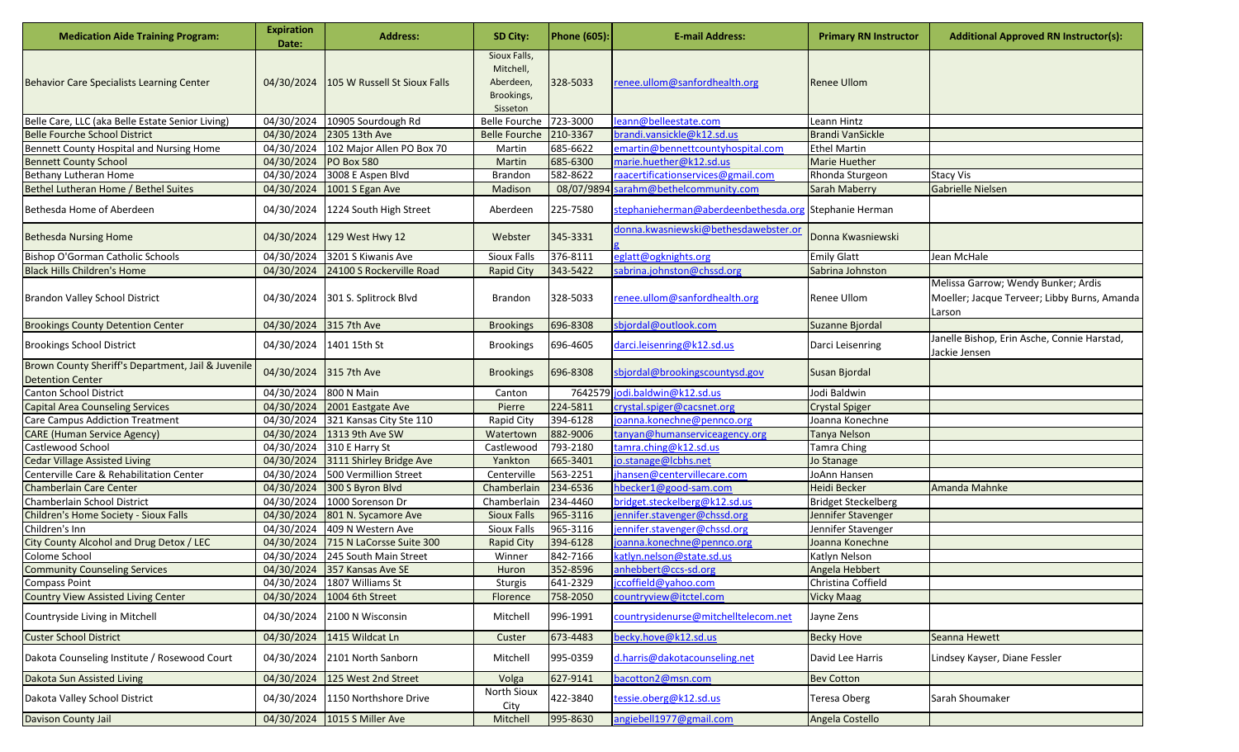| <b>Medication Aide Training Program:</b>                                      | <b>Expiration</b><br>Date: | <b>Address:</b>                  | SD City:                                                         | <b>Phone (605):</b> | <b>E-mail Address:</b>                                | <b>Primary RN Instructor</b> | <b>Additional Approved RN Instructor(s):</b>                                                  |
|-------------------------------------------------------------------------------|----------------------------|----------------------------------|------------------------------------------------------------------|---------------------|-------------------------------------------------------|------------------------------|-----------------------------------------------------------------------------------------------|
| <b>Behavior Care Specialists Learning Center</b>                              | 04/30/2024                 | 105 W Russell St Sioux Falls     | Sioux Falls,<br>Mitchell,<br>Aberdeen,<br>Brookings,<br>Sisseton | 328-5033            | renee.ullom@sanfordhealth.org                         | <b>Renee Ullom</b>           |                                                                                               |
| Belle Care, LLC (aka Belle Estate Senior Living)                              | 04/30/2024                 | 10905 Sourdough Rd               | Belle Fourche 723-3000                                           |                     | leann@belleestate.com                                 | Leann Hintz                  |                                                                                               |
| <b>Belle Fourche School District</b>                                          | 04/30/2024                 | 2305 13th Ave                    | <b>Belle Fourche</b>                                             | 210-3367            | brandi.vansickle@k12.sd.us                            | <b>Brandi VanSickle</b>      |                                                                                               |
| Bennett County Hospital and Nursing Home                                      | 04/30/2024                 | 102 Major Allen PO Box 70        | Martin                                                           | 685-6622            | emartin@bennettcountyhospital.com                     | <b>Ethel Martin</b>          |                                                                                               |
| <b>Bennett County School</b>                                                  | 04/30/2024                 | <b>PO Box 580</b>                | Martin                                                           | 685-6300            | marie.huether@k12.sd.us                               | <b>Marie Huether</b>         |                                                                                               |
| Bethany Lutheran Home                                                         |                            | 04/30/2024 3008 E Aspen Blvd     | Brandon                                                          | 582-8622            | raacertificationservices@gmail.com                    | Rhonda Sturgeon              | <b>Stacy Vis</b>                                                                              |
| Bethel Lutheran Home / Bethel Suites                                          | 04/30/2024                 | 1001 S Egan Ave                  | Madison                                                          |                     | 08/07/9894 sarahm@bethelcommunity.com                 | Sarah Maberry                | <b>Gabrielle Nielsen</b>                                                                      |
| Bethesda Home of Aberdeen                                                     | 04/30/2024                 | 1224 South High Street           | Aberdeen                                                         | 225-7580            | stephanieherman@aberdeenbethesda.org Stephanie Herman |                              |                                                                                               |
| <b>Bethesda Nursing Home</b>                                                  |                            | 04/30/2024 129 West Hwy 12       | Webster                                                          | 345-3331            | donna.kwasniewski@bethesdawebster.or                  | Donna Kwasniewski            |                                                                                               |
| Bishop O'Gorman Catholic Schools                                              |                            | 04/30/2024 3201 S Kiwanis Ave    | Sioux Falls                                                      | 376-8111            | eglatt@ogknights.org                                  | <b>Emily Glatt</b>           | Jean McHale                                                                                   |
| <b>Black Hills Children's Home</b>                                            | 04/30/2024                 | 24100 S Rockerville Road         | <b>Rapid City</b>                                                | 343-5422            | sabrina.johnston@chssd.org                            | Sabrina Johnston             |                                                                                               |
| Brandon Valley School District                                                |                            | 04/30/2024 301 S. Splitrock Blvd | <b>Brandon</b>                                                   | 328-5033            | renee.ullom@sanfordhealth.org                         | Renee Ullom                  | Melissa Garrow; Wendy Bunker; Ardis<br>Moeller; Jacque Terveer; Libby Burns, Amanda<br>Larson |
| <b>Brookings County Detention Center</b>                                      | 04/30/2024 315 7th Ave     |                                  | <b>Brookings</b>                                                 | 696-8308            | sbjordal@outlook.com                                  | Suzanne Bjordal              |                                                                                               |
| <b>Brookings School District</b>                                              |                            | 04/30/2024 1401 15th St          | <b>Brookings</b>                                                 | 696-4605            | darci.leisenring@k12.sd.us                            | Darci Leisenring             | Janelle Bishop, Erin Asche, Connie Harstad,<br>Jackie Jensen                                  |
| Brown County Sheriff's Department, Jail & Juvenile<br><b>Detention Center</b> | 04/30/2024 315 7th Ave     |                                  | <b>Brookings</b>                                                 | 696-8308            | sbjordal@brookingscountysd.gov                        | Susan Bjordal                |                                                                                               |
| Canton School District                                                        | 04/30/2024                 | 800 N Main                       | Canton                                                           |                     | 7642579 jodi.baldwin@k12.sd.us                        | Jodi Baldwin                 |                                                                                               |
| <b>Capital Area Counseling Services</b>                                       | 04/30/2024                 | 2001 Eastgate Ave                | Pierre                                                           | 224-5811            | crystal.spiger@cacsnet.org                            | <b>Crystal Spiger</b>        |                                                                                               |
| Care Campus Addiction Treatment                                               | 04/30/2024                 | 321 Kansas City Ste 110          | <b>Rapid City</b>                                                | 394-6128            | joanna.konechne@pennco.org                            | Joanna Konechne              |                                                                                               |
| <b>CARE (Human Service Agency)</b>                                            |                            | 04/30/2024 1313 9th Ave SW       | Watertown                                                        | 882-9006            | tanyan@humanserviceagency.org                         | Tanya Nelson                 |                                                                                               |
| Castlewood School                                                             |                            | 04/30/2024 310 E Harry St        | Castlewood                                                       | 793-2180            | tamra.ching@k12.sd.us                                 | <b>Tamra Ching</b>           |                                                                                               |
| <b>Cedar Village Assisted Living</b>                                          | 04/30/2024                 | 3111 Shirley Bridge Ave          | Yankton                                                          | 665-3401            | jo.stanage@lcbhs.net                                  | Jo Stanage                   |                                                                                               |
| Centerville Care & Rehabilitation Center                                      |                            | 04/30/2024 500 Vermillion Street | Centerville                                                      | 563-2251            | jhansen@centervillecare.com                           | JoAnn Hansen                 |                                                                                               |
| <b>Chamberlain Care Center</b>                                                | 04/30/2024                 | 300 S Byron Blvd                 | Chamberlain                                                      | 234-6536            | hbecker1@good-sam.com                                 | Heidi Becker                 | Amanda Mahnke                                                                                 |
| Chamberlain School District                                                   | 04/30/2024                 | 1000 Sorenson Dr                 | Chamberlain                                                      | 234-4460            | bridget.steckelberg@k12.sd.us                         | <b>Bridget Steckelberg</b>   |                                                                                               |
| Children's Home Society - Sioux Falls                                         | 04/30/2024                 | 801 N. Sycamore Ave              | <b>Sioux Falls</b>                                               | 965-3116            | jennifer.stavenger@chssd.org                          | Jennifer Stavenger           |                                                                                               |
| Children's Inn                                                                | 04/30/2024                 | 409 N Western Ave                | Sioux Falls                                                      | 965-3116            | jennifer.stavenger@chssd.org                          | Jennifer Stavenger           |                                                                                               |
| City County Alcohol and Drug Detox / LEC                                      | 04/30/2024                 | 715 N LaCorsse Suite 300         | <b>Rapid City</b>                                                | 394-6128            | joanna.konechne@pennco.org                            | Joanna Konechne              |                                                                                               |
| Colome School                                                                 |                            | 04/30/2024 245 South Main Street | Winner                                                           | 842-7166            | katlyn.nelson@state.sd.us                             | Katlyn Nelson                |                                                                                               |
| <b>Community Counseling Services</b>                                          |                            | 04/30/2024 357 Kansas Ave SE     | Huron                                                            | 352-8596            | anhebbert@ccs-sd.org                                  | Angela Hebbert               |                                                                                               |
| <b>Compass Point</b>                                                          |                            | 04/30/2024 1807 Williams St      | Sturgis                                                          | 641-2329            | jccoffield@yahoo.com                                  | Christina Coffield           |                                                                                               |
| <b>Country View Assisted Living Center</b>                                    | 04/30/2024                 | 1004 6th Street                  | Florence                                                         | 758-2050            | countryview@itctel.com                                | Vicky Maag                   |                                                                                               |
| Countryside Living in Mitchell                                                |                            | 04/30/2024 2100 N Wisconsin      | Mitchell                                                         | 996-1991            | countrysidenurse@mitchelltelecom.net                  | Jayne Zens                   |                                                                                               |
| <b>Custer School District</b>                                                 |                            | 04/30/2024 1415 Wildcat Ln       | Custer                                                           | 673-4483            | becky.hove@k12.sd.us                                  | <b>Becky Hove</b>            | Seanna Hewett                                                                                 |
| Dakota Counseling Institute / Rosewood Court                                  | 04/30/2024                 | 2101 North Sanborn               | Mitchell                                                         | 995-0359            | d.harris@dakotacounseling.net                         | David Lee Harris             | Lindsey Kayser, Diane Fessler                                                                 |
| Dakota Sun Assisted Living                                                    | 04/30/2024                 | 125 West 2nd Street              | Volga                                                            | 627-9141            | bacotton2@msn.com                                     | <b>Bev Cotton</b>            |                                                                                               |
| Dakota Valley School District                                                 |                            | 04/30/2024 1150 Northshore Drive | <b>North Sioux</b><br>City                                       | 422-3840            | tessie.oberg@k12.sd.us                                | Teresa Oberg                 | Sarah Shoumaker                                                                               |
| Davison County Jail                                                           |                            | 04/30/2024 1015 S Miller Ave     | Mitchell                                                         | 995-8630            | angiebell1977@gmail.com                               | Angela Costello              |                                                                                               |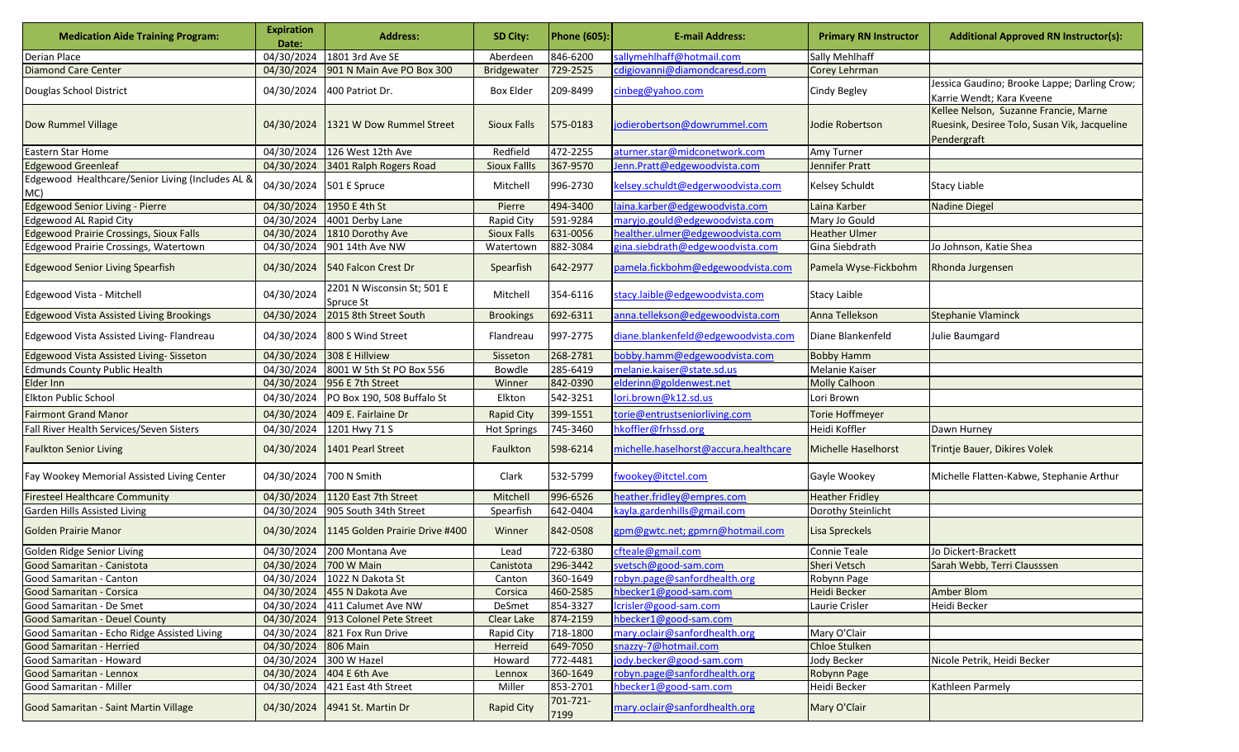| <b>Medication Aide Training Program:</b>                | <b>Expiration</b><br>Date: | <b>Address:</b>                         | SD City:            | <b>Phone (605):</b> | <b>E-mail Address:</b>                | <b>Primary RN Instructor</b> | <b>Additional Approved RN Instructor(s):</b>                                                         |
|---------------------------------------------------------|----------------------------|-----------------------------------------|---------------------|---------------------|---------------------------------------|------------------------------|------------------------------------------------------------------------------------------------------|
| Derian Place                                            | 04/30/2024                 | 1801 3rd Ave SE                         | Aberdeen            | 846-6200            | sallymehlhaff@hotmail.com             | Sally Mehlhaff               |                                                                                                      |
| <b>Diamond Care Center</b>                              | 04/30/2024                 | 901 N Main Ave PO Box 300               | Bridgewater         | 729-2525            | cdigiovanni@diamondcaresd.com         | Corey Lehrman                |                                                                                                      |
| Douglas School District                                 |                            | 04/30/2024 400 Patriot Dr.              | <b>Box Elder</b>    | 209-8499            | cinbeg@yahoo.com                      | Cindy Begley                 | Jessica Gaudino; Brooke Lappe; Darling Crow;<br>Karrie Wendt; Kara Kveene                            |
| Dow Rummel Village                                      | 04/30/2024                 | 1321 W Dow Rummel Street                | <b>Sioux Falls</b>  | 575-0183            | jodierobertson@dowrummel.com          | <b>Jodie Robertson</b>       | Kellee Nelson, Suzanne Francie, Marne<br>Ruesink, Desiree Tolo, Susan Vik, Jacqueline<br>Pendergraft |
| Eastern Star Home                                       |                            | 04/30/2024 126 West 12th Ave            | Redfield            | 472-2255            | aturner.star@midconetwork.com         | Amy Turner                   |                                                                                                      |
| <b>Edgewood Greenleaf</b>                               | 04/30/2024                 | 3401 Ralph Rogers Road                  | <b>Sioux Fallls</b> | 367-9570            | Jenn.Pratt@edgewoodvista.com          | Jennifer Pratt               |                                                                                                      |
| Edgewood Healthcare/Senior Living (Includes AL &<br>MC) | 04/30/2024                 | 501 E Spruce                            | Mitchell            | 996-2730            | kelsey.schuldt@edgerwoodvista.com     | Kelsey Schuldt               | <b>Stacy Liable</b>                                                                                  |
| <b>Edgewood Senior Living - Pierre</b>                  | 04/30/2024                 | 1950 E 4th St                           | Pierre              | 494-3400            | laina.karber@edgewoodvista.com        | Laina Karber                 | <b>Nadine Diegel</b>                                                                                 |
| <b>Edgewood AL Rapid City</b>                           | 04/30/2024                 | 4001 Derby Lane                         | <b>Rapid City</b>   | 591-9284            | maryjo.gould@edgewoodvista.com        | Mary Jo Gould                |                                                                                                      |
| <b>Edgewood Prairie Crossings, Sioux Falls</b>          | 04/30/2024                 | 1810 Dorothy Ave                        | <b>Sioux Falls</b>  | 631-0056            | healther.ulmer@edgewoodvista.com      | <b>Heather Ulmer</b>         |                                                                                                      |
| Edgewood Prairie Crossings, Watertown                   | 04/30/2024                 | 901 14th Ave NW                         | Watertown           | 882-3084            | gina.siebdrath@edgewoodvista.com      | Gina Siebdrath               | Jo Johnson, Katie Shea                                                                               |
| <b>Edgewood Senior Living Spearfish</b>                 | 04/30/2024                 | 540 Falcon Crest Dr                     | Spearfish           | 642-2977            | oamela.fickbohm@edgewoodvista.com     | Pamela Wyse-Fickbohm         | Rhonda Jurgensen                                                                                     |
| Edgewood Vista - Mitchell                               | 04/30/2024                 | 2201 N Wisconsin St; 501 E<br>Spruce St | Mitchell            | 354-6116            | stacy.laible@edgewoodvista.com        | <b>Stacy Laible</b>          |                                                                                                      |
| <b>Edgewood Vista Assisted Living Brookings</b>         | 04/30/2024                 | 2015 8th Street South                   | <b>Brookings</b>    | 692-6311            | anna.tellekson@edgewoodvista.com      | Anna Tellekson               | <b>Stephanie Vlaminck</b>                                                                            |
| Edgewood Vista Assisted Living- Flandreau               | 04/30/2024                 | 800 S Wind Street                       | Flandreau           | 997-2775            | diane.blankenfeld@edgewoodvista.com   | Diane Blankenfeld            | Julie Baumgard                                                                                       |
| Edgewood Vista Assisted Living-Sisseton                 | 04/30/2024                 | 308 E Hillview                          | Sisseton            | 268-2781            | bobby.hamm@edgewoodvista.com          | <b>Bobby Hamm</b>            |                                                                                                      |
| <b>Edmunds County Public Health</b>                     | 04/30/2024                 | 8001 W 5th St PO Box 556                | Bowdle              | 285-6419            | melanie.kaiser@state.sd.us            | Melanie Kaiser               |                                                                                                      |
| Elder Inn                                               | 04/30/2024                 | 956 E 7th Street                        | Winner              | 842-0390            | elderinn@goldenwest.net               | <b>Molly Calhoon</b>         |                                                                                                      |
| <b>Elkton Public School</b>                             | 04/30/2024                 | PO Box 190, 508 Buffalo St              | Elkton              | 542-3251            | lori.brown@k12.sd.us                  | Lori Brown                   |                                                                                                      |
| <b>Fairmont Grand Manor</b>                             | 04/30/2024                 | 409 E. Fairlaine Dr                     | <b>Rapid City</b>   | 399-1551            | torie@entrustseniorliving.com         | <b>Torie Hoffmeyer</b>       |                                                                                                      |
| Fall River Health Services/Seven Sisters                | 04/30/2024                 | 1201 Hwy 71 S                           | Hot Springs         | 745-3460            | hkoffler@frhssd.org                   | Heidi Koffler                | Dawn Hurney                                                                                          |
| <b>Faulkton Senior Living</b>                           | 04/30/2024                 | 1401 Pearl Street                       | Faulkton            | 598-6214            | michelle.haselhorst@accura.healthcare | <b>Michelle Haselhorst</b>   | Trintje Bauer, Dikires Volek                                                                         |
| Fay Wookey Memorial Assisted Living Center              | 04/30/2024                 | 700 N Smith                             | Clark               | 532-5799            | fwookey@itctel.com                    | Gayle Wookey                 | Michelle Flatten-Kabwe, Stephanie Arthur                                                             |
| <b>Firesteel Healthcare Community</b>                   | 04/30/2024                 | 1120 East 7th Street                    | Mitchell            | 996-6526            | neather.fridley@empres.com            | <b>Heather Fridley</b>       |                                                                                                      |
| Garden Hills Assisted Living                            | 04/30/2024                 | 905 South 34th Street                   | Spearfish           | 642-0404            | kayla.gardenhills@gmail.com           | Dorothy Steinlicht           |                                                                                                      |
| <b>Golden Prairie Manor</b>                             | 04/30/2024                 | 1145 Golden Prairie Drive #400          | Winner              | 842-0508            | gpm@gwtc.net; gpmrn@hotmail.com       | Lisa Spreckels               |                                                                                                      |
| Golden Ridge Senior Living                              | 04/30/2024                 | 200 Montana Ave                         | Lead                | 722-6380            | cfteale@gmail.com                     | Connie Teale                 | Jo Dickert-Brackett                                                                                  |
| Good Samaritan - Canistota                              | 04/30/2024                 | 700 W Main                              | Canistota           | 296-3442            | svetsch@good-sam.com                  | Sheri Vetsch                 | Sarah Webb, Terri Clausssen                                                                          |
| Good Samaritan - Canton                                 |                            | 04/30/2024 1022 N Dakota St             | Canton              | 360-1649            | robyn.page@sanfordhealth.org          | Robynn Page                  |                                                                                                      |
| Good Samaritan - Corsica                                |                            | 04/30/2024 455 N Dakota Ave             | Corsica             | 460-2585            | hbecker1@good-sam.com                 | Heidi Becker                 | Amber Blom                                                                                           |
| Good Samaritan - De Smet                                | 04/30/2024                 | 411 Calumet Ave NW                      | DeSmet              | 854-3327            | lcrisler@good-sam.com                 | Laurie Crisler               | Heidi Becker                                                                                         |
| <b>Good Samaritan - Deuel County</b>                    |                            | 04/30/2024 913 Colonel Pete Street      | Clear Lake          | 874-2159            | hbecker1@good-sam.com                 |                              |                                                                                                      |
| Good Samaritan - Echo Ridge Assisted Living             |                            | 04/30/2024 821 Fox Run Drive            | Rapid City          | 718-1800            | mary.oclair@sanfordhealth.org         | Mary O'Clair                 |                                                                                                      |
| Good Samaritan - Herried                                | 04/30/2024 806 Main        |                                         | Herreid             | 649-7050            | snazzy-7@hotmail.com                  | <b>Chloe Stulken</b>         |                                                                                                      |
| Good Samaritan - Howard                                 | 04/30/2024 300 W Hazel     |                                         | Howard              | 772-4481            | jody.becker@good-sam.com              | Jody Becker                  | Nicole Petrik, Heidi Becker                                                                          |
| Good Samaritan - Lennox                                 |                            | 04/30/2024 404 E 6th Ave                | Lennox              | 360-1649            | robyn.page@sanfordhealth.org          | Robynn Page                  |                                                                                                      |
| Good Samaritan - Miller                                 | 04/30/2024                 | 421 East 4th Street                     | Miller              | 853-2701            | hbecker1@good-sam.com                 | Heidi Becker                 | Kathleen Parmely                                                                                     |
| Good Samaritan - Saint Martin Village                   |                            | 04/30/2024 4941 St. Martin Dr           | <b>Rapid City</b>   | 701-721-<br>7199    | mary.oclair@sanfordhealth.org         | Mary O'Clair                 |                                                                                                      |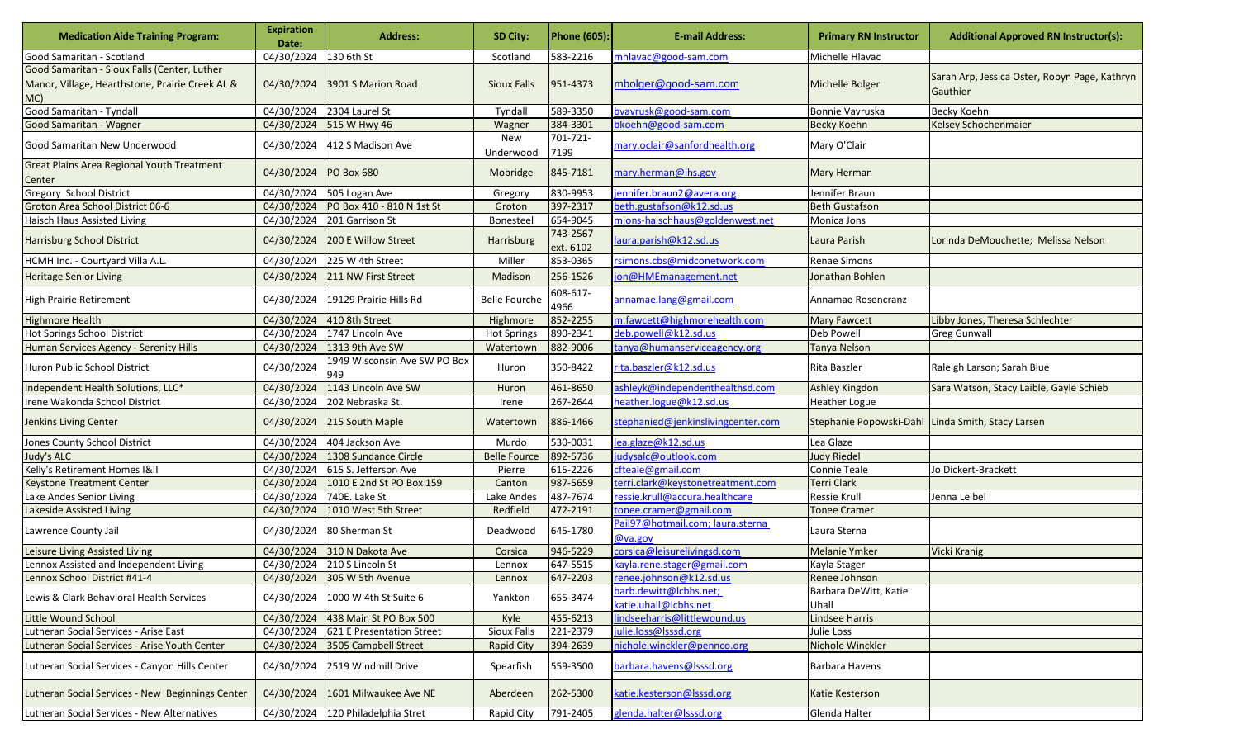| <b>Medication Aide Training Program:</b>                                                              | <b>Expiration</b><br>Date: | <b>Address:</b>                     | <b>SD City:</b>      | <b>Phone (605):</b>   | <b>E-mail Address:</b>                          | <b>Primary RN Instructor</b>                      | <b>Additional Approved RN Instructor(s):</b>              |
|-------------------------------------------------------------------------------------------------------|----------------------------|-------------------------------------|----------------------|-----------------------|-------------------------------------------------|---------------------------------------------------|-----------------------------------------------------------|
| Good Samaritan - Scotland                                                                             | 04/30/2024                 | 130 6th St                          | Scotland             | 583-2216              | mhlavac@good-sam.com                            | Michelle Hlavac                                   |                                                           |
| Good Samaritan - Sioux Falls (Center, Luther<br>Manor, Village, Hearthstone, Prairie Creek AL &<br>MC | 04/30/2024                 | 3901 S Marion Road                  | <b>Sioux Falls</b>   | 951-4373              | mbolger@good-sam.com                            | <b>Michelle Bolger</b>                            | Sarah Arp, Jessica Oster, Robyn Page, Kathryn<br>Gauthier |
| Good Samaritan - Tyndall                                                                              | 04/30/2024                 | 2304 Laurel St                      | Tyndall              | 589-3350              | bvavrusk@good-sam.com                           | Bonnie Vavruska                                   | Becky Koehn                                               |
| Good Samaritan - Wagner                                                                               | 04/30/2024                 | 515 W Hwy 46                        | Wagner               | 384-3301              | bkoehn@good-sam.com                             | <b>Becky Koehn</b>                                | <b>Kelsey Schochenmaier</b>                               |
| Good Samaritan New Underwood                                                                          | 04/30/2024                 | 412 S Madison Ave                   | New<br>Underwood     | 701-721-<br>7199      | mary.oclair@sanfordhealth.org                   | Mary O'Clair                                      |                                                           |
| Great Plains Area Regional Youth Treatment<br>Center                                                  | 04/30/2024                 | <b>PO Box 680</b>                   | Mobridge             | 845-7181              | mary.herman@ihs.gov                             | Mary Herman                                       |                                                           |
| Gregory School District                                                                               | 04/30/2024                 | 505 Logan Ave                       | Gregory              | 830-9953              | jennifer.braun2@avera.org                       | Jennifer Braun                                    |                                                           |
| Groton Area School District 06-6                                                                      | 04/30/2024                 | PO Box 410 - 810 N 1st St           | Groton               | 397-2317              | beth.gustafson@k12.sd.us                        | <b>Beth Gustafson</b>                             |                                                           |
| <b>Haisch Haus Assisted Living</b>                                                                    | 04/30/2024                 | 201 Garrison St                     | Bonesteel            | 654-9045              | mjons-haischhaus@goldenwest.net                 | Monica Jons                                       |                                                           |
| Harrisburg School District                                                                            | 04/30/2024                 | 200 E Willow Street                 | Harrisburg           | 743-2567<br>ext. 6102 | laura.parish@k12.sd.us                          | Laura Parish                                      | Lorinda DeMouchette; Melissa Nelson                       |
| HCMH Inc. - Courtyard Villa A.L.                                                                      | 04/30/2024                 | 225 W 4th Street                    | Miller               | 853-0365              | rsimons.cbs@midconetwork.com                    | Renae Simons                                      |                                                           |
| <b>Heritage Senior Living</b>                                                                         | 04/30/2024                 | 211 NW First Street                 | Madison              | 256-1526              | jon@HMEmanagement.net                           | Jonathan Bohlen                                   |                                                           |
| <b>High Prairie Retirement</b>                                                                        | 04/30/2024                 | 19129 Prairie Hills Rd              | <b>Belle Fourche</b> | 608-617-<br>4966      | annamae.lang@gmail.com                          | Annamae Rosencranz                                |                                                           |
| <b>Highmore Health</b>                                                                                | 04/30/2024                 | 410 8th Street                      | Highmore             | 852-2255              | m.fawcett@highmorehealth.com                    | Mary Fawcett                                      | Libby Jones, Theresa Schlechter                           |
| <b>Hot Springs School District</b>                                                                    | 04/30/2024                 | 1747 Lincoln Ave                    | <b>Hot Springs</b>   | 890-2341              | deb.powell@k12.sd.us                            | Deb Powell                                        | <b>Greg Gunwall</b>                                       |
| Human Services Agency - Serenity Hills                                                                | 04/30/2024                 | 1313 9th Ave SW                     | Watertown            | 882-9006              | tanya@humanserviceagency.org                    | Tanya Nelson                                      |                                                           |
| <b>Huron Public School District</b>                                                                   | 04/30/2024                 | 1949 Wisconsin Ave SW PO Box<br>949 | Huron                | 350-8422              | rita.baszler@k12.sd.us                          | Rita Baszler                                      | Raleigh Larson; Sarah Blue                                |
| Independent Health Solutions, LLC*                                                                    | 04/30/2024                 | 1143 Lincoln Ave SW                 | Huron                | 461-8650              | ashleyk@independenthealthsd.com                 | <b>Ashley Kingdon</b>                             | Sara Watson, Stacy Laible, Gayle Schieb                   |
| Irene Wakonda School District                                                                         | 04/30/2024                 | 202 Nebraska St.                    | Irene                | 267-2644              | heather.logue@k12.sd.us                         | Heather Logue                                     |                                                           |
| Jenkins Living Center                                                                                 | 04/30/2024                 | 215 South Maple                     | Watertown            | 886-1466              | stephanied@jenkinslivingcenter.com              | Stephanie Popowski-Dahl Linda Smith, Stacy Larsen |                                                           |
| Jones County School District                                                                          | 04/30/2024                 | 404 Jackson Ave                     | Murdo                | 530-0031              | lea.glaze@k12.sd.us                             | Lea Glaze                                         |                                                           |
| <b>Judy's ALC</b>                                                                                     | 04/30/2024                 | 1308 Sundance Circle                | <b>Belle Fource</b>  | 892-5736              | judysalc@outlook.com                            | <b>Judy Riedel</b>                                |                                                           |
| Kelly's Retirement Homes I&II                                                                         | 04/30/2024                 | 615 S. Jefferson Ave                | Pierre               | 615-2226              | cfteale@gmail.com                               | Connie Teale                                      | Jo Dickert-Brackett                                       |
| <b>Keystone Treatment Center</b>                                                                      | 04/30/2024                 | 1010 E 2nd St PO Box 159            | Canton               | 987-5659              | terri.clark@keystonetreatment.com               | <b>Terri Clark</b>                                |                                                           |
| Lake Andes Senior Living                                                                              | 04/30/2024                 | 740E. Lake St                       | Lake Andes           | 487-7674              | ressie.krull@accura.healthcare                  | Ressie Krull                                      | Jenna Leibel                                              |
| Lakeside Assisted Living                                                                              | 04/30/2024                 | 1010 West 5th Street                | Redfield             | 472-2191              | tonee.cramer@gmail.com                          | <b>Tonee Cramer</b>                               |                                                           |
| Lawrence County Jail                                                                                  | 04/30/2024                 | 80 Sherman St                       | Deadwood             | 645-1780              | Pail97@hotmail.com; laura.sterna<br>@va.gov     | Laura Sterna                                      |                                                           |
| Leisure Living Assisted Living                                                                        | 04/30/2024                 | 310 N Dakota Ave                    | Corsica              | 946-5229              | corsica@leisurelivingsd.com                     | Melanie Ymker                                     | Vicki Kranig                                              |
| Lennox Assisted and Independent Living                                                                | 04/30/2024                 | 210 S Lincoln St                    | Lennox               | 647-5515              | kayla.rene.stager@gmail.com                     | Kayla Stager                                      |                                                           |
| Lennox School District #41-4                                                                          |                            | 04/30/2024 305 W 5th Avenue         | Lennox               | 647-2203              | renee.johnson@k12.sd.us                         | Renee Johnson                                     |                                                           |
| Lewis & Clark Behavioral Health Services                                                              | 04/30/2024                 | 1000 W 4th St Suite 6               | Yankton              | 655-3474              | barb.dewitt@lcbhs.net;<br>katie.uhall@lcbhs.net | Barbara DeWitt, Katie<br>Uhall                    |                                                           |
| <b>Little Wound School</b>                                                                            | 04/30/2024                 | 438 Main St PO Box 500              | Kyle                 | 455-6213              | lindseeharris@littlewound.us                    | Lindsee Harris                                    |                                                           |
| Lutheran Social Services - Arise East                                                                 | 04/30/2024                 | 621 E Presentation Street           | Sioux Falls          | 221-2379              | julie.loss@lsssd.org                            | Julie Loss                                        |                                                           |
| Lutheran Social Services - Arise Youth Center                                                         | 04/30/2024                 | 3505 Campbell Street                | <b>Rapid City</b>    | 394-2639              | nichole.winckler@pennco.org                     | Nichole Winckler                                  |                                                           |
| Lutheran Social Services - Canyon Hills Center                                                        | 04/30/2024                 | 2519 Windmill Drive                 | Spearfish            | 559-3500              | barbara.havens@lsssd.org                        | Barbara Havens                                    |                                                           |
| Lutheran Social Services - New Beginnings Center                                                      | 04/30/2024                 | 1601 Milwaukee Ave NE               | Aberdeen             | 262-5300              | katie.kesterson@lsssd.org                       | Katie Kesterson                                   |                                                           |
| Lutheran Social Services - New Alternatives                                                           |                            | 04/30/2024 120 Philadelphia Stret   | Rapid City           | 791-2405              | glenda.halter@lsssd.org                         | Glenda Halter                                     |                                                           |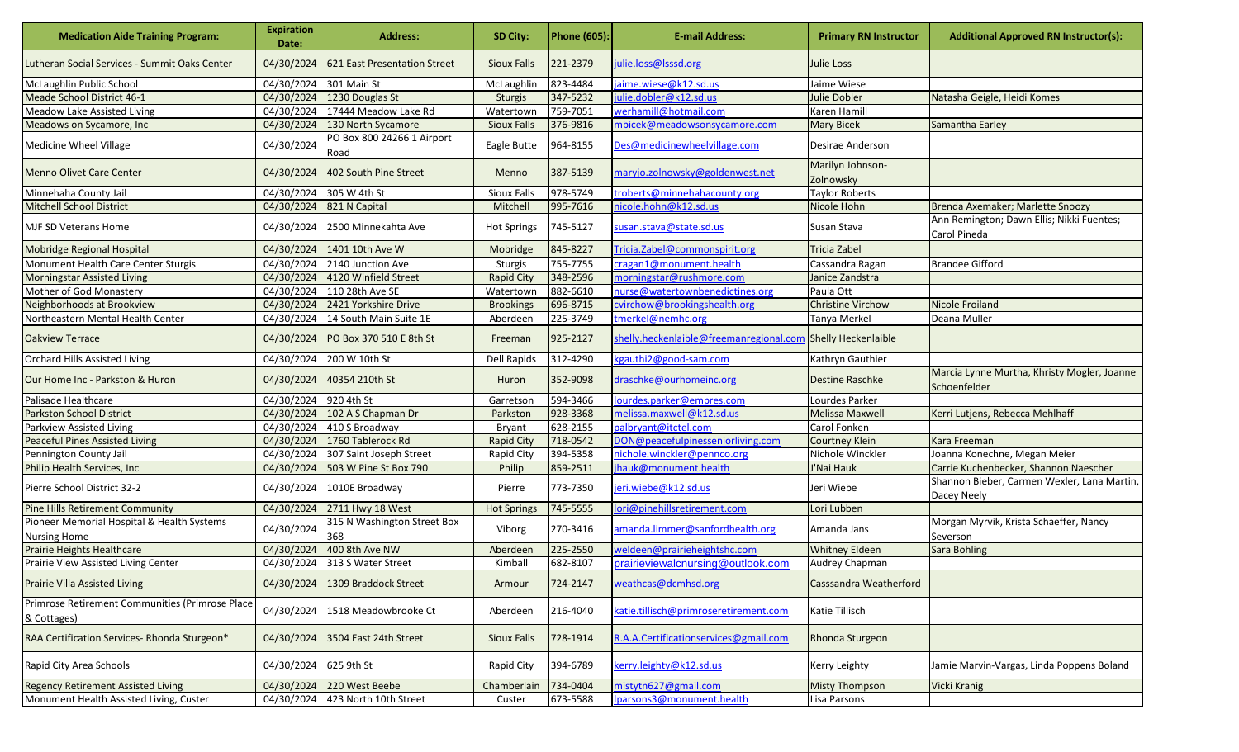| <b>Medication Aide Training Program:</b>                          | <b>Expiration</b><br>Date: | <b>Address:</b>                    | SD City:           | <b>Phone (605):</b> | <b>E-mail Address:</b>                                      | <b>Primary RN Instructor</b>  | <b>Additional Approved RN Instructor(s):</b>                |
|-------------------------------------------------------------------|----------------------------|------------------------------------|--------------------|---------------------|-------------------------------------------------------------|-------------------------------|-------------------------------------------------------------|
| Lutheran Social Services - Summit Oaks Center                     | 04/30/2024                 | 621 East Presentation Street       | <b>Sioux Falls</b> | 221-2379            | julie.loss@lsssd.org                                        | <b>Julie Loss</b>             |                                                             |
| McLaughlin Public School                                          | 04/30/2024                 | 301 Main St                        | McLaughlin         | 823-4484            | jaime.wiese@k12.sd.us                                       | Jaime Wiese                   |                                                             |
| Meade School District 46-1                                        | 04/30/2024                 | 1230 Douglas St                    | Sturgis            | 347-5232            | julie.dobler@k12.sd.us                                      | Julie Dobler                  | Natasha Geigle, Heidi Komes                                 |
| <b>Meadow Lake Assisted Living</b>                                | 04/30/2024                 | 17444 Meadow Lake Rd               | Watertown          | 759-7051            | werhamill@hotmail.com                                       | Karen Hamill                  |                                                             |
| Meadows on Sycamore, Inc.                                         | 04/30/2024                 | 130 North Sycamore                 | <b>Sioux Falls</b> | 376-9816            | mbicek@meadowsonsycamore.com                                | <b>Mary Bicek</b>             | Samantha Earley                                             |
| Medicine Wheel Village                                            | 04/30/2024                 | PO Box 800 24266 1 Airport<br>Road | Eagle Butte        | 964-8155            | Des@medicinewheelvillage.com                                | Desirae Anderson              |                                                             |
| <b>Menno Olivet Care Center</b>                                   | 04/30/2024                 | 402 South Pine Street              | Menno              | 387-5139            | maryjo.zolnowsky@goldenwest.net                             | Marilyn Johnson-<br>Zolnowsky |                                                             |
| Minnehaha County Jail                                             | 04/30/2024                 | 305 W 4th St                       | Sioux Falls        | 978-5749            | troberts@minnehahacounty.org                                | <b>Taylor Roberts</b>         |                                                             |
| <b>Mitchell School District</b>                                   | 04/30/2024                 | 821 N Capital                      | Mitchell           | 995-7616            | nicole.hohn@k12.sd.us                                       | Nicole Hohn                   | Brenda Axemaker; Marlette Snoozy                            |
| <b>MJF SD Veterans Home</b>                                       | 04/30/2024                 | 2500 Minnekahta Ave                | <b>Hot Springs</b> | 745-5127            | susan.stava@state.sd.us                                     | Susan Stava                   | Ann Remington; Dawn Ellis; Nikki Fuentes;<br>Carol Pineda   |
| Mobridge Regional Hospital                                        | 04/30/2024                 | 1401 10th Ave W                    | Mobridge           | 845-8227            | Tricia. Zabel@commonspirit.org                              | <b>Tricia Zabel</b>           |                                                             |
| Monument Health Care Center Sturgis                               | 04/30/2024                 | 2140 Junction Ave                  | Sturgis            | 755-7755            | cragan1@monument.health                                     | Cassandra Ragan               | <b>Brandee Gifford</b>                                      |
| <b>Morningstar Assisted Living</b>                                | 04/30/2024                 | 4120 Winfield Street               | <b>Rapid City</b>  | 348-2596            | morningstar@rushmore.com                                    | Janice Zandstra               |                                                             |
| Mother of God Monastery                                           | 04/30/2024                 | 110 28th Ave SE                    | Watertown          | 882-6610            | nurse@watertownbenedictines.org                             | Paula Ott                     |                                                             |
| Neighborhoods at Brookview                                        | 04/30/2024                 | 2421 Yorkshire Drive               | <b>Brookings</b>   | 696-8715            | cvirchow@brookingshealth.org                                | <b>Christine Virchow</b>      | <b>Nicole Froiland</b>                                      |
| Northeastern Mental Health Center                                 | 04/30/2024                 | 14 South Main Suite 1E             | Aberdeen           | 225-3749            | tmerkel@nemhc.org                                           | Tanya Merkel                  | Deana Muller                                                |
| <b>Oakview Terrace</b>                                            | 04/30/2024                 | PO Box 370 510 E 8th St            | Freeman            | 925-2127            | shelly.heckenlaible@freemanregional.com Shelly Heckenlaible |                               |                                                             |
| Orchard Hills Assisted Living                                     | 04/30/2024                 | 200 W 10th St                      | Dell Rapids        | 312-4290            | kgauthi2@good-sam.com                                       | Kathryn Gauthier              |                                                             |
| Our Home Inc - Parkston & Huron                                   | 04/30/2024                 | 40354 210th St                     | Huron              | 352-9098            | draschke@ourhomeinc.org                                     | <b>Destine Raschke</b>        | Marcia Lynne Murtha, Khristy Mogler, Joanne<br>Schoenfelder |
| Palisade Healthcare                                               | 04/30/2024                 | 920 4th St                         | Garretson          | 594-3466            | ourdes.parker@empres.com                                    | Lourdes Parker                |                                                             |
| <b>Parkston School District</b>                                   | 04/30/2024                 | 102 A S Chapman Dr                 | Parkston           | 928-3368            | melissa.maxwell@k12.sd.us                                   | <b>Melissa Maxwell</b>        | Kerri Lutjens, Rebecca Mehlhaff                             |
| Parkview Assisted Living                                          | 04/30/2024                 | 410 S Broadway                     | <b>Bryant</b>      | 628-2155            | palbryant@itctel.com                                        | Carol Fonken                  |                                                             |
| <b>Peaceful Pines Assisted Living</b>                             | 04/30/2024                 | 1760 Tablerock Rd                  | <b>Rapid City</b>  | 718-0542            | DON@peacefulpinesseniorliving.com                           | <b>Courtney Klein</b>         | <b>Kara Freeman</b>                                         |
| Pennington County Jail                                            | 04/30/2024                 | 307 Saint Joseph Street            | Rapid City         | 394-5358            | nichole.winckler@pennco.org                                 | Nichole Winckler              | Joanna Konechne, Megan Meier                                |
| Philip Health Services, Inc                                       | 04/30/2024                 | 503 W Pine St Box 790              | Philip             | 859-2511            | jhauk@monument.health                                       | J'Nai Hauk                    | Carrie Kuchenbecker, Shannon Naescher                       |
| Pierre School District 32-2                                       | 04/30/2024                 | 1010E Broadway                     | Pierre             | 773-7350            | jeri.wiebe@k12.sd.us                                        | Jeri Wiebe                    | Shannon Bieber, Carmen Wexler, Lana Martin,<br>Dacey Neely  |
| <b>Pine Hills Retirement Community</b>                            | 04/30/2024                 | 2711 Hwy 18 West                   | <b>Hot Springs</b> | 745-5555            | lori@pinehillsretirement.com                                | Lori Lubben                   |                                                             |
| Pioneer Memorial Hospital & Health Systems<br><b>Nursing Home</b> | 04/30/2024                 | 315 N Washington Street Box<br>368 | Viborg             | 270-3416            | amanda.limmer@sanfordhealth.org                             | Amanda Jans                   | Morgan Myrvik, Krista Schaeffer, Nancy<br>Severson          |
| Prairie Heights Healthcare                                        | 04/30/2024                 | 400 8th Ave NW                     | Aberdeen           | 225-2550            | weldeen@prairieheightshc.com                                | <b>Whitney Eldeen</b>         | <b>Sara Bohling</b>                                         |
| Prairie View Assisted Living Center                               | 04/30/2024                 | 313 S Water Street                 | Kimball            | 682-8107            | prairieviewalcnursing@outlook.com                           | Audrey Chapman                |                                                             |
| <b>Prairie Villa Assisted Living</b>                              | 04/30/2024                 | 1309 Braddock Street               | Armour             | 724-2147            | weathcas@dcmhsd.org                                         | <b>Casssandra Weatherford</b> |                                                             |
| Primrose Retirement Communities (Primrose Place<br>& Cottages)    | 04/30/2024                 | 1518 Meadowbrooke Ct               | Aberdeen           | 216-4040            | katie.tillisch@primroseretirement.com                       | Katie Tillisch                |                                                             |
| RAA Certification Services-Rhonda Sturgeon*                       | 04/30/2024                 | 3504 East 24th Street              | <b>Sioux Falls</b> | 728-1914            | R.A.A.Certificationservices@gmail.com                       | Rhonda Sturgeon               |                                                             |
| Rapid City Area Schools                                           | 04/30/2024                 | 625 9th St                         | Rapid City         | 394-6789            | kerry.leighty@k12.sd.us                                     | Kerry Leighty                 | Jamie Marvin-Vargas, Linda Poppens Boland                   |
| <b>Regency Retirement Assisted Living</b>                         | 04/30/2024                 | 220 West Beebe                     | Chamberlain        | 734-0404            | mistytn627@gmail.com                                        | <b>Misty Thompson</b>         | <b>Vicki Kranig</b>                                         |
| Monument Health Assisted Living, Custer                           |                            | 04/30/2024 423 North 10th Street   | Custer             | 673-5588            | parsons3@monument.health                                    | Lisa Parsons                  |                                                             |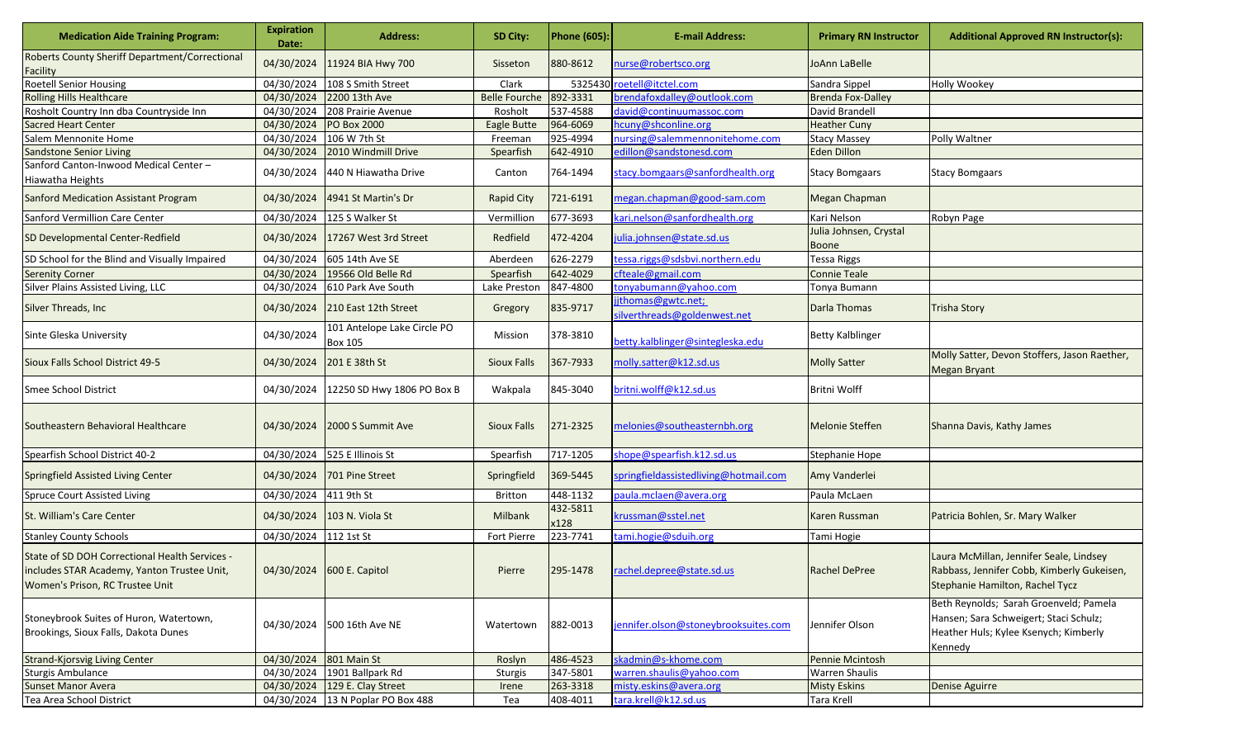| <b>Medication Aide Training Program:</b>                                                                                         | <b>Expiration</b><br>Date: | <b>Address:</b>                               | SD City:             | <b>Phone (605):</b> | <b>E-mail Address:</b>                            | <b>Primary RN Instructor</b>    | <b>Additional Approved RN Instructor(s):</b>                                                                                         |
|----------------------------------------------------------------------------------------------------------------------------------|----------------------------|-----------------------------------------------|----------------------|---------------------|---------------------------------------------------|---------------------------------|--------------------------------------------------------------------------------------------------------------------------------------|
| Roberts County Sheriff Department/Correctional<br>Facility                                                                       |                            | 04/30/2024 11924 BIA Hwy 700                  | Sisseton             | 880-8612            | hurse@robertsco.org                               | JoAnn LaBelle                   |                                                                                                                                      |
| <b>Roetell Senior Housing</b>                                                                                                    | 04/30/2024                 | 108 S Smith Street                            | Clark                | 5325430             | roetell@itctel.com                                | Sandra Sippel                   | Holly Wookey                                                                                                                         |
| <b>Rolling Hills Healthcare</b>                                                                                                  | 04/30/2024                 | 2200 13th Ave                                 | <b>Belle Fourche</b> | 892-3331            | orendafoxdalley@outlook.com                       | <b>Brenda Fox-Dalley</b>        |                                                                                                                                      |
| Rosholt Country Inn dba Countryside Inn                                                                                          | 04/30/2024                 | 208 Prairie Avenue                            | Rosholt              | 537-4588            | david@continuumassoc.com                          | David Brandell                  |                                                                                                                                      |
| <b>Sacred Heart Center</b>                                                                                                       | 04/30/2024                 | <b>PO Box 2000</b>                            | Eagle Butte          | 964-6069            | hcuny@shconline.org                               | <b>Heather Cuny</b>             |                                                                                                                                      |
| Salem Mennonite Home                                                                                                             | 04/30/2024                 | 106 W 7th St                                  | Freeman              | 925-4994            | nursing@salemmennonitehome.com                    | <b>Stacy Massey</b>             | Polly Waltner                                                                                                                        |
| <b>Sandstone Senior Living</b>                                                                                                   | 04/30/2024                 | 2010 Windmill Drive                           | Spearfish            | 642-4910            | edillon@sandstonesd.com                           | <b>Eden Dillon</b>              |                                                                                                                                      |
| Sanford Canton-Inwood Medical Center-<br>Hiawatha Heights                                                                        | 04/30/2024                 | 440 N Hiawatha Drive                          | Canton               | 764-1494            | stacy.bomgaars@sanfordhealth.org                  | <b>Stacy Bomgaars</b>           | <b>Stacy Bomgaars</b>                                                                                                                |
| <b>Sanford Medication Assistant Program</b>                                                                                      |                            | 04/30/2024 4941 St Martin's Dr                | <b>Rapid City</b>    | 721-6191            | negan.chapman@good-sam.com                        | Megan Chapman                   |                                                                                                                                      |
| Sanford Vermillion Care Center                                                                                                   |                            | 04/30/2024 125 S Walker St                    | Vermillion           | 677-3693            | kari.nelson@sanfordhealth.org                     | Kari Nelson                     | Robyn Page                                                                                                                           |
| SD Developmental Center-Redfield                                                                                                 |                            | 04/30/2024 17267 West 3rd Street              | Redfield             | 472-4204            | ulia.johnsen@state.sd.us                          | Julia Johnsen, Crystal<br>Boone |                                                                                                                                      |
| SD School for the Blind and Visually Impaired                                                                                    | 04/30/2024                 | 605 14th Ave SE                               | Aberdeen             | 626-2279            | tessa.riggs@sdsbvi.northern.edu                   | <b>Tessa Riggs</b>              |                                                                                                                                      |
| <b>Serenity Corner</b>                                                                                                           | 04/30/2024                 | 19566 Old Belle Rd                            | Spearfish            | 642-4029            | cfteale@gmail.com                                 | <b>Connie Teale</b>             |                                                                                                                                      |
| Silver Plains Assisted Living, LLC                                                                                               | 04/30/2024                 | 610 Park Ave South                            | Lake Preston         | 847-4800            | tonyabumann@yahoo.com                             | Tonya Bumann                    |                                                                                                                                      |
| Silver Threads, Inc                                                                                                              |                            | 04/30/2024 210 East 12th Street               | Gregory              | 835-9717            | jthomas@gwtc.net;<br>silverthreads@goldenwest.net | Darla Thomas                    | <b>Trisha Story</b>                                                                                                                  |
| Sinte Gleska University                                                                                                          | 04/30/2024                 | 101 Antelope Lake Circle PO<br><b>Box 105</b> | Mission              | 378-3810            | betty.kalblinger@sintegleska.edu                  | <b>Betty Kalblinger</b>         |                                                                                                                                      |
| Sioux Falls School District 49-5                                                                                                 | 04/30/2024                 | 201 E 38th St                                 | <b>Sioux Falls</b>   | 367-7933            | molly.satter@k12.sd.us                            | <b>Molly Satter</b>             | Molly Satter, Devon Stoffers, Jason Raether,<br><b>Megan Bryant</b>                                                                  |
| <b>Smee School District</b>                                                                                                      | 04/30/2024                 | 12250 SD Hwy 1806 PO Box B                    | Wakpala              | 845-3040            | oritni.wolff@k12.sd.us                            | Britni Wolff                    |                                                                                                                                      |
| Southeastern Behavioral Healthcare                                                                                               |                            | 04/30/2024 2000 S Summit Ave                  | <b>Sioux Falls</b>   | 271-2325            | melonies@southeasternbh.org                       | <b>Melonie Steffen</b>          | Shanna Davis, Kathy James                                                                                                            |
| Spearfish School District 40-2                                                                                                   |                            | 04/30/2024 525 E Illinois St                  | Spearfish            | 717-1205            | shope@spearfish.k12.sd.us                         | Stephanie Hope                  |                                                                                                                                      |
| Springfield Assisted Living Center                                                                                               |                            | 04/30/2024 701 Pine Street                    | Springfield          | 369-5445            | springfieldassistedliving@hotmail.com             | Amy Vanderlei                   |                                                                                                                                      |
| <b>Spruce Court Assisted Living</b>                                                                                              | 04/30/2024 411 9th St      |                                               | <b>Britton</b>       | 448-1132            | <u>baula.mclaen@avera.org</u>                     | Paula McLaen                    |                                                                                                                                      |
| St. William's Care Center                                                                                                        |                            | 04/30/2024 103 N. Viola St                    | <b>Milbank</b>       | 432-5811<br>x128    | krussman@sstel.net                                | Karen Russman                   | Patricia Bohlen, Sr. Mary Walker                                                                                                     |
| <b>Stanley County Schools</b>                                                                                                    | 04/30/2024 112 1st St      |                                               | <b>Fort Pierre</b>   | 223-7741            | tami.hogie@sduih.org                              | Tami Hogie                      |                                                                                                                                      |
| State of SD DOH Correctional Health Services -<br>includes STAR Academy, Yanton Trustee Unit,<br>Women's Prison, RC Trustee Unit |                            | 04/30/2024 600 E. Capitol                     | Pierre               | 295-1478            | rachel.depree@state.sd.us                         | <b>Rachel DePree</b>            | Laura McMillan, Jennifer Seale, Lindsey<br>Rabbass, Jennifer Cobb, Kimberly Gukeisen,<br>Stephanie Hamilton, Rachel Tycz             |
| Stoneybrook Suites of Huron, Watertown,<br>Brookings, Sioux Falls, Dakota Dunes                                                  |                            | 04/30/2024 500 16th Ave NE                    | Watertown            | 882-0013            | ennifer.olson@stoneybrooksuites.com               | Jennifer Olson                  | Beth Reynolds; Sarah Groenveld; Pamela<br>Hansen; Sara Schweigert; Staci Schulz;<br>Heather Huls; Kylee Ksenych; Kimberly<br>Kennedy |
| <b>Strand-Kjorsvig Living Center</b>                                                                                             | 04/30/2024 801 Main St     |                                               | Roslyn               | 486-4523            | skadmin@s-khome.com                               | Pennie Mcintosh                 |                                                                                                                                      |
| Sturgis Ambulance                                                                                                                |                            | 04/30/2024 1901 Ballpark Rd                   | Sturgis              | 347-5801            | warren.shaulis@yahoo.com                          | <b>Warren Shaulis</b>           |                                                                                                                                      |
| <b>Sunset Manor Avera</b>                                                                                                        |                            | 04/30/2024 129 E. Clay Street                 | Irene                | 263-3318            | misty.eskins@avera.org                            | <b>Misty Eskins</b>             | Denise Aguirre                                                                                                                       |
| Tea Area School District                                                                                                         |                            | 04/30/2024 13 N Poplar PO Box 488             | Tea                  | 408-4011            | tara.krell@k12.sd.us                              | Tara Krell                      |                                                                                                                                      |